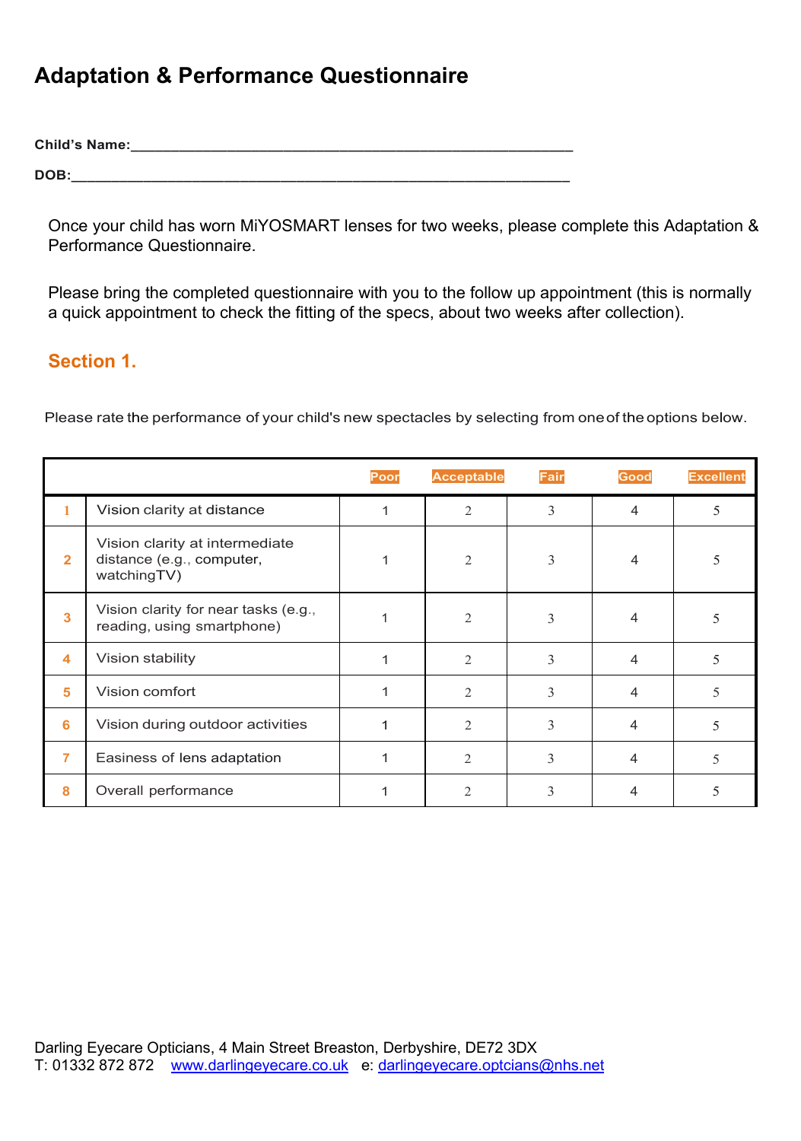## **Adaptation & Performance Questionnaire**

**Child's Name:\_\_\_\_\_\_\_\_\_\_\_\_\_\_\_\_\_\_\_\_\_\_\_\_\_\_\_\_\_\_\_\_\_\_\_\_\_\_\_\_\_\_\_\_\_\_\_\_\_\_\_\_\_\_\_**

**DOB:\_\_\_\_\_\_\_\_\_\_\_\_\_\_\_\_\_\_\_\_\_\_\_\_\_\_\_\_\_\_\_\_\_\_\_\_\_\_\_\_\_\_\_\_\_\_\_\_\_\_\_\_\_\_\_\_\_\_\_\_\_\_**

Once your child has worn MiYOSMART lenses for two weeks, please complete this Adaptation & Performance Questionnaire.

Please bring the completed questionnaire with you to the follow up appointment (this is normally a quick appointment to check the fitting of the specs, about two weeks after collection).

## **Section 1.**

Please rate the performance of your child's new spectacles by selecting from oneof the options below.

|                |                                                                            | Poor | <b>Acceptable</b>           | <b>Fair</b> | Good | <b>Excellent</b> |
|----------------|----------------------------------------------------------------------------|------|-----------------------------|-------------|------|------------------|
|                | Vision clarity at distance                                                 |      | $\overline{2}$              | 3           | 4    | 5                |
| $\overline{2}$ | Vision clarity at intermediate<br>distance (e.g., computer,<br>watchingTV) |      | $\overline{2}$              | 3           | 4    | 5                |
| $\mathbf{3}$   | Vision clarity for near tasks (e.g.,<br>reading, using smartphone)         |      | $\overline{2}$              | 3           | 4    |                  |
| 4              | Vision stability                                                           |      | $\mathcal{D}_{\mathcal{L}}$ | 3           | 4    | 5                |
| 5              | Vision comfort                                                             |      | 2                           | 3           | 4    | 5                |
| 6              | Vision during outdoor activities                                           |      | 2                           | 3           | 4    | 5                |
| 7              | Easiness of lens adaptation                                                |      | 2                           | 3           |      | 5                |
| 8              | Overall performance                                                        |      | $\mathcal{D}_{\mathcal{L}}$ | 3           |      | 5                |